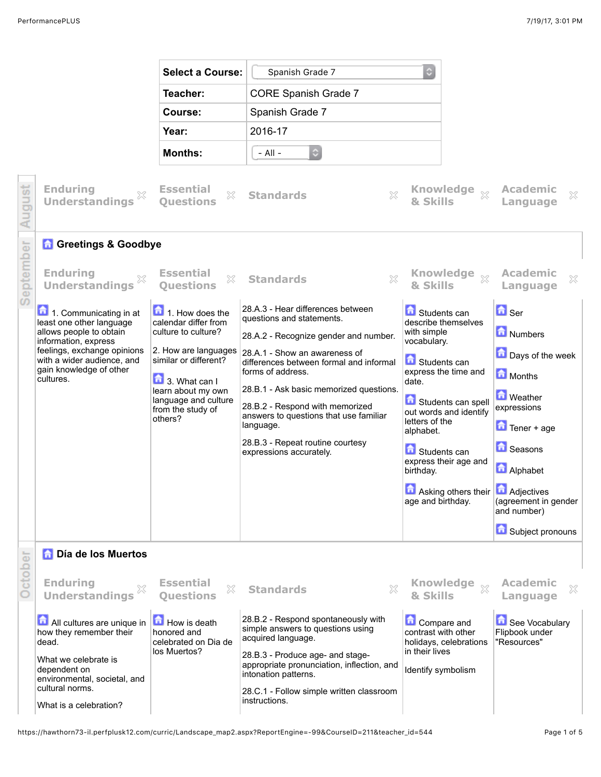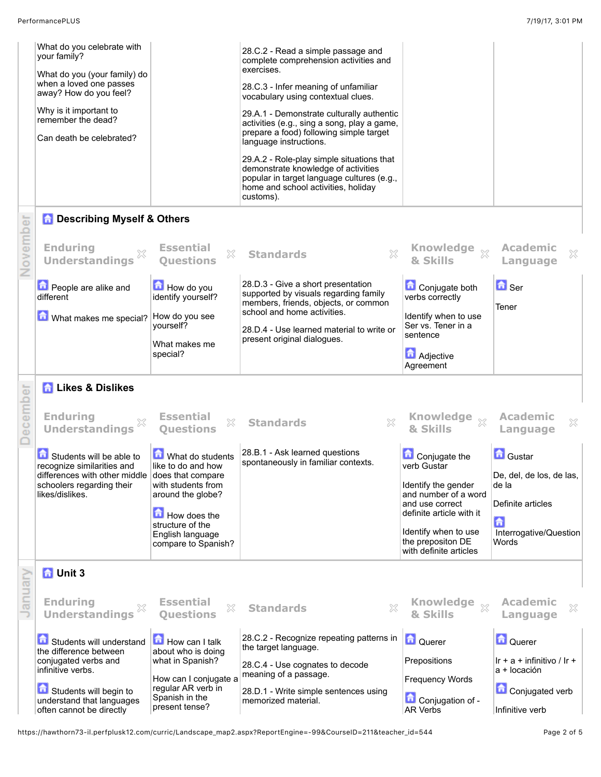|        | What do you celebrate with<br>your family?<br>What do you (your family) do<br>when a loved one passes<br>away? How do you feel?<br>Why is it important to<br>remember the dead?<br>Can death be celebrated? |                                                                                                                                                                                       | 28.C.2 - Read a simple passage and<br>complete comprehension activities and<br>exercises.<br>28.C.3 - Infer meaning of unfamiliar<br>vocabulary using contextual clues.<br>29.A.1 - Demonstrate culturally authentic<br>activities (e.g., sing a song, play a game,<br>prepare a food) following simple target<br>language instructions.<br>29.A.2 - Role-play simple situations that<br>demonstrate knowledge of activities<br>popular in target language cultures (e.g.,<br>home and school activities, holiday |                                                                                                                                                                                                   |                                                                                                                 |
|--------|-------------------------------------------------------------------------------------------------------------------------------------------------------------------------------------------------------------|---------------------------------------------------------------------------------------------------------------------------------------------------------------------------------------|-------------------------------------------------------------------------------------------------------------------------------------------------------------------------------------------------------------------------------------------------------------------------------------------------------------------------------------------------------------------------------------------------------------------------------------------------------------------------------------------------------------------|---------------------------------------------------------------------------------------------------------------------------------------------------------------------------------------------------|-----------------------------------------------------------------------------------------------------------------|
| ā      | <b>n</b> Describing Myself & Others                                                                                                                                                                         |                                                                                                                                                                                       | customs).                                                                                                                                                                                                                                                                                                                                                                                                                                                                                                         |                                                                                                                                                                                                   |                                                                                                                 |
| Novem  | <b>Enduring</b><br><b>Understandings</b>                                                                                                                                                                    | <b>Essential</b><br>×<br><b>Ouestions</b>                                                                                                                                             | X<br><b>Standards</b>                                                                                                                                                                                                                                                                                                                                                                                                                                                                                             | <b>Knowledge</b><br>$\chi$<br>& Skills                                                                                                                                                            | <b>Academic</b><br>X<br>Language                                                                                |
|        | People are alike and<br>different<br>What makes me special?                                                                                                                                                 | How do you<br>identify yourself?<br>How do you see<br>yourself?<br>What makes me<br>special?                                                                                          | 28.D.3 - Give a short presentation<br>supported by visuals regarding family<br>members, friends, objects, or common<br>school and home activities.<br>28.D.4 - Use learned material to write or<br>present original dialogues.                                                                                                                                                                                                                                                                                    | Conjugate both<br>verbs correctly<br>Identify when to use<br>Ser vs. Tener in a<br>sentence<br><b>Adjective</b><br>Agreement                                                                      | $\blacksquare$ Ser<br>Tener                                                                                     |
| ā      | <b>A</b> Likes & Dislikes                                                                                                                                                                                   |                                                                                                                                                                                       |                                                                                                                                                                                                                                                                                                                                                                                                                                                                                                                   |                                                                                                                                                                                                   |                                                                                                                 |
| ecemp  | <b>Enduring</b><br><b>Understandings</b>                                                                                                                                                                    | <b>Essential</b><br>X<br><b>Questions</b>                                                                                                                                             | X<br><b>Standards</b>                                                                                                                                                                                                                                                                                                                                                                                                                                                                                             | <b>Knowledge</b><br>$\chi$<br>& Skills                                                                                                                                                            | <b>Academic</b><br>X<br>Language                                                                                |
|        | Students will be able to<br>recognize similarities and<br>differences with other middle<br>schoolers regarding their<br>likes/dislikes.                                                                     | What do students<br>like to do and how<br>does that compare<br>with students from<br>around the globe?<br>How does the<br>structure of the<br>English language<br>compare to Spanish? | 28.B.1 - Ask learned questions<br>spontaneously in familiar contexts.                                                                                                                                                                                                                                                                                                                                                                                                                                             | Conjugate the<br>verb Gustar<br>Identify the gender<br>and number of a word<br>and use correct<br>definite article with it<br>Identify when to use<br>the prepositon DE<br>with definite articles | <b>Gustar</b><br>De, del, de los, de las,<br>de la<br>Definite articles<br>命<br>Interrogative/Question<br>Words |
| anuary | <b>n</b> Unit 3                                                                                                                                                                                             |                                                                                                                                                                                       |                                                                                                                                                                                                                                                                                                                                                                                                                                                                                                                   |                                                                                                                                                                                                   |                                                                                                                 |
|        | <b>Enduring</b><br>×<br><b>Understandings</b>                                                                                                                                                               | <b>Essential</b><br>X<br><b>Questions</b>                                                                                                                                             | X<br><b>Standards</b>                                                                                                                                                                                                                                                                                                                                                                                                                                                                                             | <b>Knowledge</b><br>$\chi$<br>& Skills                                                                                                                                                            | <b>Academic</b><br>×<br>Language                                                                                |
|        | Students will understand<br>the difference between<br>conjugated verbs and<br>infinitive verbs.<br>Students will begin to<br>understand that languages<br>often cannot be directly                          | How can I talk<br>about who is doing<br>what in Spanish?<br>How can I conjugate a<br>regular AR verb in<br>Spanish in the<br>present tense?                                           | 28.C.2 - Recognize repeating patterns in<br>the target language.<br>28.C.4 - Use cognates to decode<br>meaning of a passage.<br>28.D.1 - Write simple sentences using<br>memorized material.                                                                                                                                                                                                                                                                                                                      | Querer<br>Prepositions<br><b>Frequency Words</b><br>Conjugation of -<br><b>AR Verbs</b>                                                                                                           | <b>Querer</b><br>$\ln$ + a + infinitivo / $\ln$ +<br>a + locación<br>Conjugated verb<br>Infinitive verb         |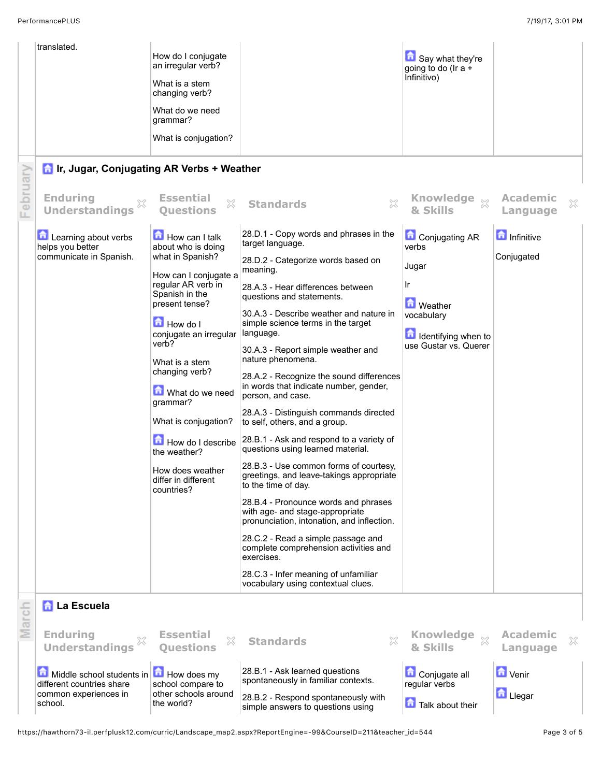|          | translated.                                            |                                                               |                                                                                                                       |                                           |                                  |
|----------|--------------------------------------------------------|---------------------------------------------------------------|-----------------------------------------------------------------------------------------------------------------------|-------------------------------------------|----------------------------------|
|          |                                                        | How do I conjugate<br>an irregular verb?                      |                                                                                                                       | Say what they're<br>going to do (Ir $a +$ |                                  |
|          |                                                        | What is a stem<br>changing verb?                              |                                                                                                                       | Infinitivo)                               |                                  |
|          |                                                        | What do we need<br>qrammar?                                   |                                                                                                                       |                                           |                                  |
|          |                                                        | What is conjugation?                                          |                                                                                                                       |                                           |                                  |
|          | <b>n</b> Ir, Jugar, Conjugating AR Verbs + Weather     |                                                               |                                                                                                                       |                                           |                                  |
| February | <b>Enduring</b><br><b>Understandings</b>               | <b>Essential</b><br>X<br><b>Questions</b>                     | $\boldsymbol{\mathbb{X}}$<br><b>Standards</b>                                                                         | & Skills                                  | <b>Academic</b><br>×<br>Language |
|          | <b>Learning about verbs</b><br>helps you better        | How can I talk<br>about who is doing                          | 28.D.1 - Copy words and phrases in the<br>target language.                                                            | Conjugating AR<br>verbs                   | <b>n</b> Infinitive              |
|          | communicate in Spanish.                                | what in Spanish?                                              | 28.D.2 - Categorize words based on<br>meaning.                                                                        | Jugar                                     | Conjugated                       |
|          |                                                        | How can I conjugate a<br>regular AR verb in<br>Spanish in the | 28.A.3 - Hear differences between<br>questions and statements.                                                        | Ir                                        |                                  |
|          |                                                        | present tense?<br>How do I                                    | 30.A.3 - Describe weather and nature in<br>simple science terms in the target                                         | <b>M</b> Weather<br>vocabulary            |                                  |
|          |                                                        | conjugate an irregular                                        | language.                                                                                                             | <b>d</b> Identifying when to              |                                  |
|          |                                                        | verb?<br>What is a stem                                       | 30.A.3 - Report simple weather and<br>nature phenomena.                                                               | use Gustar vs. Querer                     |                                  |
|          |                                                        | changing verb?<br>What do we need                             | 28.A.2 - Recognize the sound differences<br>in words that indicate number, gender,<br>person, and case.               |                                           |                                  |
|          |                                                        | grammar?<br>What is conjugation?                              | 28.A.3 - Distinguish commands directed<br>to self, others, and a group.                                               |                                           |                                  |
|          |                                                        | How do I describe<br>the weather?                             | 28.B.1 - Ask and respond to a variety of<br>questions using learned material.                                         |                                           |                                  |
|          |                                                        | How does weather<br>differ in different<br>countries?         | 28.B.3 - Use common forms of courtesy,<br>greetings, and leave-takings appropriate<br>to the time of day.             |                                           |                                  |
|          |                                                        |                                                               | 28.B.4 - Pronounce words and phrases<br>with age- and stage-appropriate<br>pronunciation, intonation, and inflection. |                                           |                                  |
|          |                                                        |                                                               | 28.C.2 - Read a simple passage and<br>complete comprehension activities and<br>exercises.                             |                                           |                                  |
|          |                                                        |                                                               | 28.C.3 - Infer meaning of unfamiliar<br>vocabulary using contextual clues.                                            |                                           |                                  |
| March    | <b>A</b> La Escuela                                    |                                                               |                                                                                                                       |                                           |                                  |
|          | <b>Enduring</b><br><b>Understandings</b>               | <b>Essential</b><br>X<br><b>Questions</b>                     | <b>Standards</b><br>X                                                                                                 | <b>Knowledge</b><br>$\chi$<br>& Skills    | <b>Academic</b><br>X<br>Language |
|          | Middle school students in<br>different countries share | How does my<br>school compare to                              | 28.B.1 - Ask learned questions<br>spontaneously in familiar contexts.                                                 | Conjugate all<br>regular verbs            | <b>D</b> Venir                   |
|          | common experiences in<br>school.                       | other schools around<br>the world?                            | 28.B.2 - Respond spontaneously with<br>simple answers to questions using                                              | Talk about their                          | <b>L</b> Llegar                  |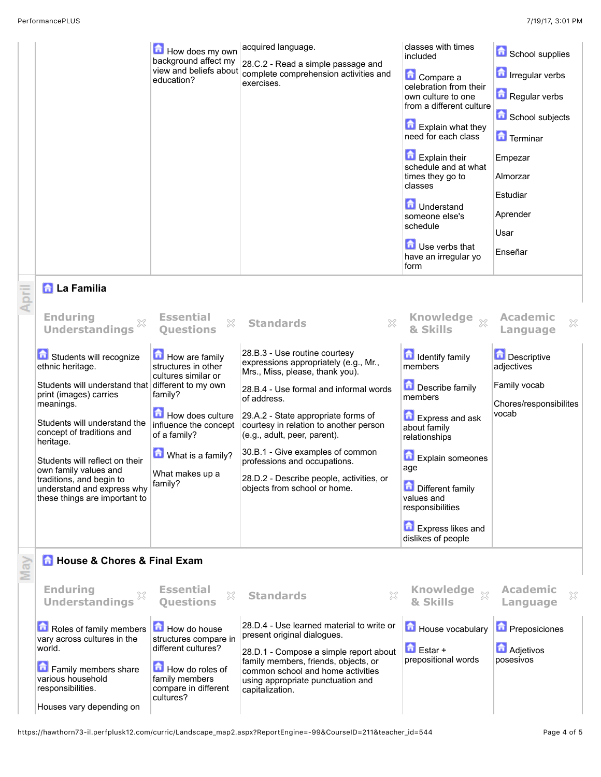|       |                                                                                          | How does my own<br>background affect my<br>view and beliefs about<br>education?               | acquired language.<br>28.C.2 - Read a simple passage and<br>complete comprehension activities and<br>exercises.                                                             | classes with times<br>included<br>Compare a<br>celebration from their<br>own culture to one<br>from a different culture<br><b>Explain what they</b><br>need for each class<br>Explain their<br>schedule and at what<br>times they go to<br>classes<br><b>D</b> Understand<br>someone else's<br>schedule<br><b>D</b> Use verbs that<br>have an irregular yo<br>form | School supplies<br><b>n</b> Irregular verbs<br>Regular verbs<br>School subjects<br>Terminar<br>Empezar<br>Almorzar<br>Estudiar<br>Aprender<br>Usar<br>Enseñar |
|-------|------------------------------------------------------------------------------------------|-----------------------------------------------------------------------------------------------|-----------------------------------------------------------------------------------------------------------------------------------------------------------------------------|--------------------------------------------------------------------------------------------------------------------------------------------------------------------------------------------------------------------------------------------------------------------------------------------------------------------------------------------------------------------|---------------------------------------------------------------------------------------------------------------------------------------------------------------|
| April | <b>A</b> La Familia                                                                      |                                                                                               |                                                                                                                                                                             |                                                                                                                                                                                                                                                                                                                                                                    |                                                                                                                                                               |
|       | <b>Enduring</b><br><b>Understandings</b>                                                 | <b>Essential</b><br>X<br><b>Ouestions</b>                                                     | X<br><b>Standards</b>                                                                                                                                                       | Knowledge xx<br>& Skills                                                                                                                                                                                                                                                                                                                                           | <b>Academic</b><br>X<br>Language                                                                                                                              |
|       | Students will recognize<br>ethnic heritage.                                              | How are family<br>structures in other<br>cultures similar or                                  | 28.B.3 - Use routine courtesy<br>expressions appropriately (e.g., Mr.,<br>Mrs., Miss, please, thank you).                                                                   | <b>In Identify family</b><br>members                                                                                                                                                                                                                                                                                                                               | <b>Descriptive</b><br>adjectives                                                                                                                              |
|       | Students will understand that different to my own<br>print (images) carries<br>meanings. | family?                                                                                       | 28.B.4 - Use formal and informal words<br>of address.                                                                                                                       | Describe family<br>members                                                                                                                                                                                                                                                                                                                                         | Family vocab<br>Chores/responsibilites                                                                                                                        |
|       | Students will understand the<br>concept of traditions and<br>heritage.                   | How does culture<br>influence the concept<br>of a family?                                     | 29.A.2 - State appropriate forms of<br>courtesy in relation to another person<br>(e.g., adult, peer, parent).                                                               | <b>Express and ask</b><br>about family<br>relationships                                                                                                                                                                                                                                                                                                            | vocab                                                                                                                                                         |
|       | Students will reflect on their<br>own family values and                                  | What is a family?                                                                             | 30.B.1 - Give examples of common<br>professions and occupations.                                                                                                            | <b>Explain someones</b><br>age                                                                                                                                                                                                                                                                                                                                     |                                                                                                                                                               |
|       | traditions, and begin to<br>understand and express why<br>these things are important to  | What makes up a<br>family?                                                                    | 28.D.2 - Describe people, activities, or<br>objects from school or home.                                                                                                    | <b>Different family</b><br>values and<br>responsibilities                                                                                                                                                                                                                                                                                                          |                                                                                                                                                               |
|       |                                                                                          |                                                                                               |                                                                                                                                                                             | <b>Express likes and</b><br>dislikes of people                                                                                                                                                                                                                                                                                                                     |                                                                                                                                                               |
| May   | <b>n</b> House & Chores & Final Exam                                                     |                                                                                               |                                                                                                                                                                             |                                                                                                                                                                                                                                                                                                                                                                    |                                                                                                                                                               |
|       | <b>Enduring</b><br><b>Understandings</b>                                                 | <b>Essential</b><br>X<br><b>Ouestions</b>                                                     | $\gtrsim$<br><b>Standards</b>                                                                                                                                               | <b>Knowledge</b><br>$\chi$<br>& Skills                                                                                                                                                                                                                                                                                                                             | <b>Academic</b><br>X<br>Language                                                                                                                              |
|       | Roles of family members<br>vary across cultures in the                                   | How do house<br>structures compare in                                                         | 28.D.4 - Use learned material to write or<br>present original dialogues.                                                                                                    | House vocabulary                                                                                                                                                                                                                                                                                                                                                   | <b>D</b> Preposiciones                                                                                                                                        |
|       | world.<br>Family members share<br>various household<br>responsibilities.                 | different cultures?<br>How do roles of<br>family members<br>compare in different<br>cultures? | 28.D.1 - Compose a simple report about<br>family members, friends, objects, or<br>common school and home activities<br>using appropriate punctuation and<br>capitalization. | $\bigcap$ Estar +<br>prepositional words                                                                                                                                                                                                                                                                                                                           | <b>Adjetivos</b><br>posesivos                                                                                                                                 |
|       | Houses vary depending on                                                                 |                                                                                               |                                                                                                                                                                             |                                                                                                                                                                                                                                                                                                                                                                    |                                                                                                                                                               |